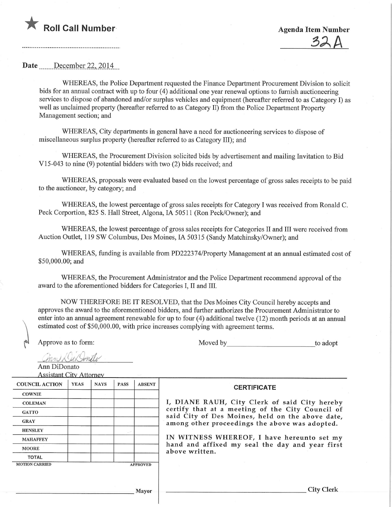

Date December 22, 2014

WHEREAS, the Police Department requested the Finance Department Procurement Division to solicit bids for an annual contract with up to four (4) additional one year renewal options to furnish auctioneering services to dispose of abandoned and/or surplus vehicles and equipment (hereafter referred to as Category I) as well as unclaimed property (hereafter referred to as Category II) from the Police Department Property Management section; and

WHEREAS, City departments in general have a need for auctioneering services to dispose of miscellaneous surplus property (hereafter referred to as Category III); and

WHEREAS, the Procurement Division solicited bids by advertisement and mailing Invitation to Bid VI 5-043 to nine (9) potential bidders with two (2) bids received; and

WHEREAS, proposals were evaluated based on the lowest percentage of gross sales receipts to be paid to the auctioneer, by category; and

WHEREAS, the lowest percentage of gross sales receipts for Category I was received from Ronald C. Peck Corportion, 825 S. Hall Street, Algona, IA 50511 (Ron Peck/Owner); and

WHEREAS, the lowest percentage of gross sales receipts for Categories II and III were received from Auction Outlet, 119 SW Columbus, Des Moines, IA 50315 (Sandy Matchinsky/Owner); and

WHEREAS, funding is available from PD222374/Property Management at an annual estimated cost of \$50,000.00; and

WHEREAS, the Procurement Administrator and the Police Department recommend approval of the award to the aforementioned bidders for Categories I, II and III.

NOW THEREFORE BE IT RESOLVED, that the Des Moines City Council hereby accepts and approves the award to the aforementioned bidders, and further authorizes the Procurement Administrator to enter into an annual agreement renewable for up to four (4) additional twelve (12) month periods at an annual estimated cost of \$50,000.00, with price increases complying with agreement terms.

Approve as to form:  $\qquad \qquad \text{Move }$  by to adopt to adopt to adopt to a dopt to a dopt to a dopt to a dopt to a dopt to a dopt to a dopt to a dopt to a dopt to a dopt to a dopt to a dopt to a dopt to a dopt to a dopt to a dop

hin Kullentle Ann DiDonato

Assistant Citv Attorney

| <b>COUNCIL ACTION</b> | <b>YEAS</b>     | <b>NAYS</b> | <b>PASS</b> | <b>ABSENT</b> |
|-----------------------|-----------------|-------------|-------------|---------------|
| <b>COWNIE</b>         |                 |             |             |               |
| <b>COLEMAN</b>        |                 |             |             |               |
| <b>GATTO</b>          |                 |             |             |               |
| <b>GRAY</b>           |                 |             |             |               |
| <b>HENSLEY</b>        |                 |             |             |               |
| <b>MAHAFFEY</b>       |                 |             |             |               |
| <b>MOORE</b>          |                 |             |             |               |
| <b>TOTAL</b>          |                 |             |             |               |
| <b>MOTION CARRIED</b> | <b>APPROVED</b> |             |             |               |

## I, DIANE RAUH, City Clerk of said City hereby certify that at a meeting of the City Council of said City of Des Moines, held on the above date, among other proceedings the above was adopted.

**CERTIFICATE** 

IN WITNESS WHEREOF, I have hereunto set my hand and affixed my seal the day and year first above written.

Mayor